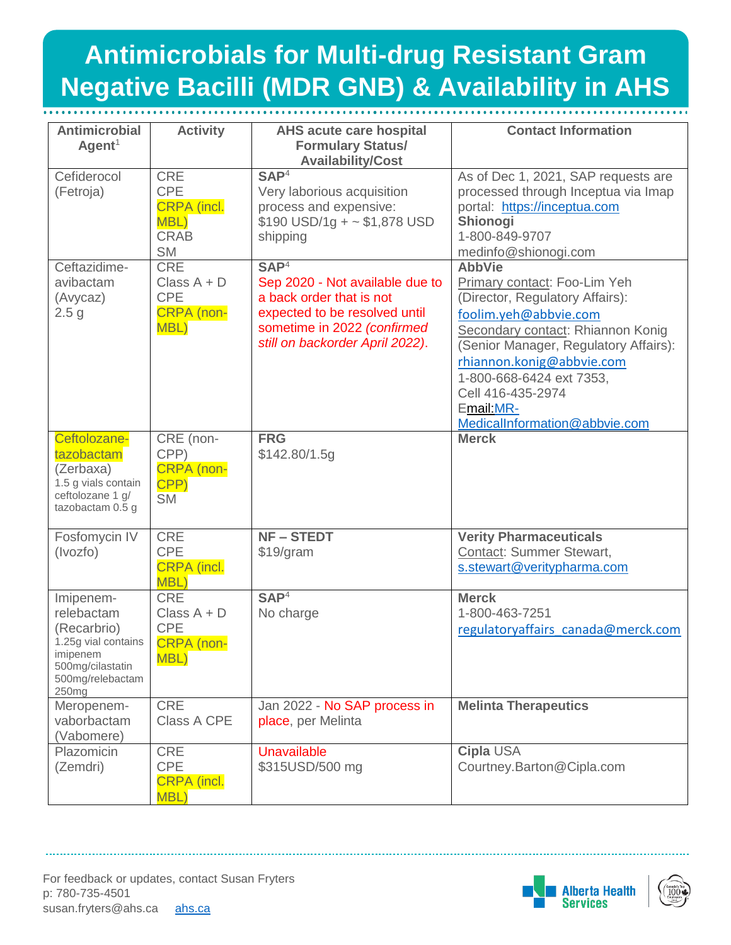## **Antimicrobials for Multi-drug Resistant Gram Bacilli (MDR GNB) & Availability in AHS Negative Bacilli (MDR GNB) & Availability in AHS**

| <b>Antimicrobial</b><br>Agent <sup>1</sup>                                                                                             | <b>Activity</b>                                                                    | <b>AHS acute care hospital</b><br><b>Formulary Status/</b><br><b>Availability/Cost</b>                                                                                             | <b>Contact Information</b>                                                                                                                                                                                                                                                                                           |
|----------------------------------------------------------------------------------------------------------------------------------------|------------------------------------------------------------------------------------|------------------------------------------------------------------------------------------------------------------------------------------------------------------------------------|----------------------------------------------------------------------------------------------------------------------------------------------------------------------------------------------------------------------------------------------------------------------------------------------------------------------|
| Cefiderocol<br>(Fetroja)                                                                                                               | <b>CRE</b><br><b>CPE</b><br><b>CRPA</b> (incl.<br>MBL)<br><b>CRAB</b><br><b>SM</b> | SAP <sup>4</sup><br>Very laborious acquisition<br>process and expensive:<br>$$190$ USD/1g + ~ \$1,878 USD<br>shipping                                                              | As of Dec 1, 2021, SAP requests are<br>processed through Inceptua via Imap<br>portal: https://inceptua.com<br>Shionogi<br>1-800-849-9707<br>medinfo@shionogi.com                                                                                                                                                     |
| Ceftazidime-<br>avibactam<br>(Avycaz)<br>2.5 <sub>g</sub>                                                                              | <b>CRE</b><br>Class $A + D$<br><b>CPE</b><br><b>CRPA</b> (non-<br>MBL)             | SAP <sup>4</sup><br>Sep 2020 - Not available due to<br>a back order that is not<br>expected to be resolved until<br>sometime in 2022 (confirmed<br>still on backorder April 2022). | <b>AbbVie</b><br>Primary contact: Foo-Lim Yeh<br>(Director, Regulatory Affairs):<br>foolim.yeh@abbvie.com<br>Secondary contact: Rhiannon Konig<br>(Senior Manager, Regulatory Affairs):<br>rhiannon.konig@abbvie.com<br>1-800-668-6424 ext 7353,<br>Cell 416-435-2974<br>Email: MR-<br>MedicalInformation@abbvie.com |
| Ceftolozane-<br>tazobactam<br>(Zerbaxa)<br>1.5 g vials contain<br>ceftolozane 1 g/<br>tazobactam 0.5 g                                 | CRE (non-<br>CPP)<br><b>CRPA</b> (non-<br>CPP)<br><b>SM</b>                        | <b>FRG</b><br>\$142.80/1.5g                                                                                                                                                        | <b>Merck</b>                                                                                                                                                                                                                                                                                                         |
| Fosfomycin IV<br>(Ivozfo)                                                                                                              | <b>CRE</b><br><b>CPE</b><br><b>CRPA</b> (incl.<br><b>MBL)</b>                      | <b>NF-STEDT</b><br>\$19/gram                                                                                                                                                       | <b>Verity Pharmaceuticals</b><br>Contact: Summer Stewart,<br>s.stewart@veritypharma.com                                                                                                                                                                                                                              |
| Imipenem-<br>relebactam<br>(Recarbrio)<br>1.25g vial contains<br>imipenem<br>500mg/cilastatin<br>500mg/relebactam<br>250 <sub>mg</sub> | <b>CRE</b><br>Class $A + D$<br><b>CPE</b><br><b>CRPA</b> (non-<br><b>MBL)</b>      | SAP <sup>4</sup><br>No charge                                                                                                                                                      | <b>Merck</b><br>1-800-463-7251<br>regulatoryaffairs canada@merck.com                                                                                                                                                                                                                                                 |
| Meropenem-<br>vaborbactam<br>(Vabomere)                                                                                                | <b>CRE</b><br><b>Class A CPE</b>                                                   | Jan 2022 - No SAP process in<br>place, per Melinta                                                                                                                                 | <b>Melinta Therapeutics</b>                                                                                                                                                                                                                                                                                          |
| Plazomicin<br>(Zemdri)                                                                                                                 | <b>CRE</b><br><b>CPE</b><br><b>CRPA</b> (incl.<br><b>MBL)</b>                      | <b>Unavailable</b><br>\$315USD/500 mg                                                                                                                                              | Cipla USA<br>Courtney.Barton@Cipla.com                                                                                                                                                                                                                                                                               |